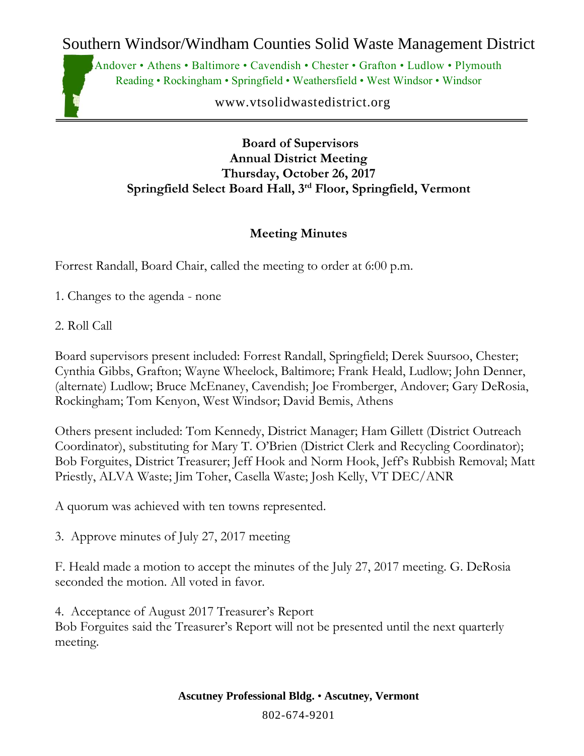Southern Windsor/Windham Counties Solid Waste Management District

Andover • Athens • Baltimore • Cavendish • Chester • Grafton • Ludlow • Plymouth Reading • Rockingham • Springfield • Weathersfield • West Windsor • Windsor

www.vtsolidwastedistrict.org

**Board of Supervisors Annual District Meeting Thursday, October 26, 2017 Springfield Select Board Hall, 3rd Floor, Springfield, Vermont**

## **Meeting Minutes**

Forrest Randall, Board Chair, called the meeting to order at 6:00 p.m.

- 1. Changes to the agenda none
- 2. Roll Call

Board supervisors present included: Forrest Randall, Springfield; Derek Suursoo, Chester; Cynthia Gibbs, Grafton; Wayne Wheelock, Baltimore; Frank Heald, Ludlow; John Denner, (alternate) Ludlow; Bruce McEnaney, Cavendish; Joe Fromberger, Andover; Gary DeRosia, Rockingham; Tom Kenyon, West Windsor; David Bemis, Athens

Others present included: Tom Kennedy, District Manager; Ham Gillett (District Outreach Coordinator), substituting for Mary T. O'Brien (District Clerk and Recycling Coordinator); Bob Forguites, District Treasurer; Jeff Hook and Norm Hook, Jeff's Rubbish Removal; Matt Priestly, ALVA Waste; Jim Toher, Casella Waste; Josh Kelly, VT DEC/ANR

A quorum was achieved with ten towns represented.

3. Approve minutes of July 27, 2017 meeting

F. Heald made a motion to accept the minutes of the July 27, 2017 meeting. G. DeRosia seconded the motion. All voted in favor.

4. Acceptance of August 2017 Treasurer's Report Bob Forguites said the Treasurer's Report will not be presented until the next quarterly meeting.

802-674-9201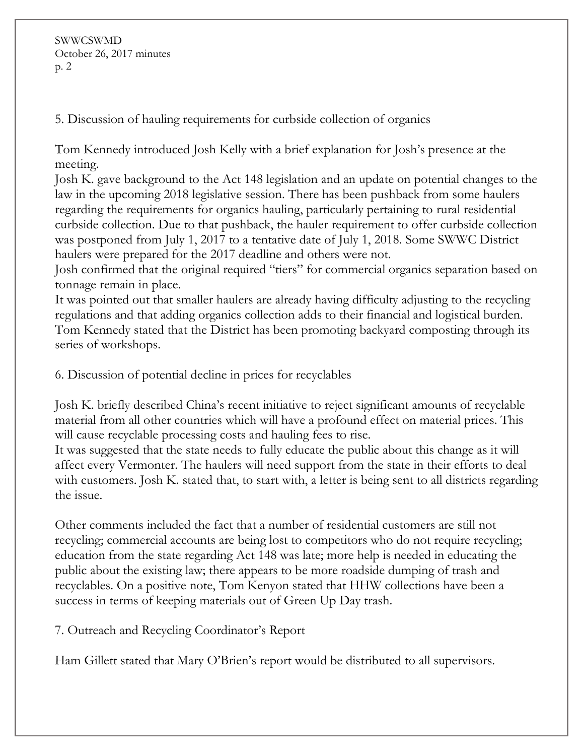SWWCSWMD October 26, 2017 minutes p. 2

5. Discussion of hauling requirements for curbside collection of organics

Tom Kennedy introduced Josh Kelly with a brief explanation for Josh's presence at the meeting.

Josh K. gave background to the Act 148 legislation and an update on potential changes to the law in the upcoming 2018 legislative session. There has been pushback from some haulers regarding the requirements for organics hauling, particularly pertaining to rural residential curbside collection. Due to that pushback, the hauler requirement to offer curbside collection was postponed from July 1, 2017 to a tentative date of July 1, 2018. Some SWWC District haulers were prepared for the 2017 deadline and others were not.

Josh confirmed that the original required "tiers" for commercial organics separation based on tonnage remain in place.

It was pointed out that smaller haulers are already having difficulty adjusting to the recycling regulations and that adding organics collection adds to their financial and logistical burden. Tom Kennedy stated that the District has been promoting backyard composting through its series of workshops.

6. Discussion of potential decline in prices for recyclables

Josh K. briefly described China's recent initiative to reject significant amounts of recyclable material from all other countries which will have a profound effect on material prices. This will cause recyclable processing costs and hauling fees to rise.

It was suggested that the state needs to fully educate the public about this change as it will affect every Vermonter. The haulers will need support from the state in their efforts to deal with customers. Josh K. stated that, to start with, a letter is being sent to all districts regarding the issue.

Other comments included the fact that a number of residential customers are still not recycling; commercial accounts are being lost to competitors who do not require recycling; education from the state regarding Act 148 was late; more help is needed in educating the public about the existing law; there appears to be more roadside dumping of trash and recyclables. On a positive note, Tom Kenyon stated that HHW collections have been a success in terms of keeping materials out of Green Up Day trash.

7. Outreach and Recycling Coordinator's Report

Ham Gillett stated that Mary O'Brien's report would be distributed to all supervisors.